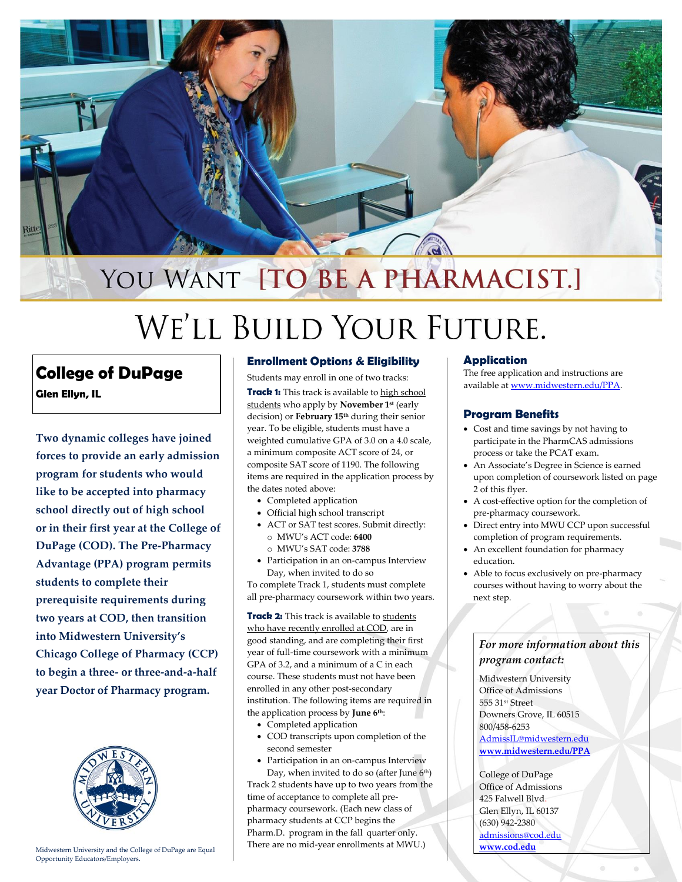

# WE'LL BUILD YOUR FUTURE.

## **College of DuPage**

**Glen Ellyn, IL**

**Two dynamic colleges have joined forces to provide an early admission program for students who would like to be accepted into pharmacy school directly out of high school or in their first year at the College of DuPage (COD). The Pre-Pharmacy Advantage (PPA) program permits students to complete their prerequisite requirements during two years at COD, then transition into Midwestern University's Chicago College of Pharmacy (CCP) to begin a three- or three-and-a-half year Doctor of Pharmacy program.**



Midwestern University and the College of DuPage are Equal Opportunity Educators/Employers.

#### **Enrollment Options & Eligibility**

Students may enroll in one of two tracks:

**Track 1:** This track is available to high school students who apply by **November 1st** (early decision) or **February 15th** during their senior year. To be eligible, students must have a weighted cumulative GPA of 3.0 on a 4.0 scale, a minimum composite ACT score of 24, or composite SAT score of 1190. The following items are required in the application process by the dates noted above:

- Completed application
- Official high school transcript
- ACT or SAT test scores. Submit directly: o MWU's ACT code: **6400**
- o MWU's SAT code: **3788**
- Participation in an on-campus Interview Day, when invited to do so

To complete Track 1, students must complete all pre-pharmacy coursework within two years.

**Track 2:** This track is available to students who have recently enrolled at COD, are in good standing, and are completing their first year of full-time coursework with a minimum GPA of 3.2, and a minimum of a C in each course. These students must not have been enrolled in any other post-secondary institution. The following items are required in the application process by **June 6 th**:

- Completed application
- COD transcripts upon completion of the second semester
- Participation in an on-campus Interview

Day, when invited to do so (after June 6<sup>th</sup>) Track 2 students have up to two years from the time of acceptance to complete all prepharmacy coursework. (Each new class of pharmacy students at CCP begins the Pharm.D. program in the fall quarter only. There are no mid-year enrollments at MWU.)

#### **Application**

The free application and instructions are available a[t www.midwestern.edu/PPA.](file://///ILDGDC2/DEPARTMENT/CCP/PPA/www.midwestern.edu/PPA)

#### **Program Benefits**

- Cost and time savings by not having to participate in the PharmCAS admissions process or take the PCAT exam.
- An Associate's Degree in Science is earned upon completion of coursework listed on page 2 of this flyer.
- A cost-effective option for the completion of pre-pharmacy coursework.
- Direct entry into MWU CCP upon successful completion of program requirements.
- An excellent foundation for pharmacy education.
- Able to focus exclusively on pre-pharmacy courses without having to worry about the next step.

### *For more information about this program contact:*

Midwestern University Office of Admissions 555 31st Street Downers Grove, IL 60515 800/458-6253 [AdmissIL@midwestern.edu](mailto:AdmissIL@midwestern.edu) **[www.midwestern.edu/PPA](http://www.midwestern.edu/PPA)**

College of DuPage Office of Admissions 425 Falwell Blvd. Glen Ellyn, IL 60137 (630) 942-2380 [admissions@cod.edu](mailto:admissions@cod.edu) **[www.cod.edu](http://www.cod.edu/)**